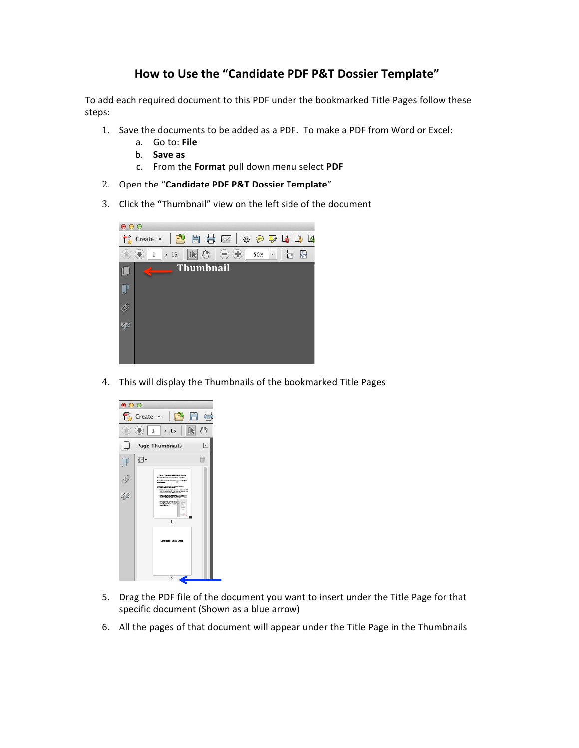#### **How to Use the "Candidate PDF P&T Dossier Template"**

To add each required document to this PDF under the bookmarked Title Pages follow these steps:

- 1. Save the documents to be added as a PDF. To make a PDF from Word or Excel:
	- a. Go to: **File**
	- b. **Save as**
	- c. From the **Format** pull down menu select **PDF**
- 2. Open the "**Candidate PDF P&T Dossier Template**"
- 3. Click the "Thumbnail" view on the left side of the document



4. This will display the Thumbnails of the bookmarked Title Pages



- 5. Drag the PDF file of the document you want to insert under the Title Page for that specific document (Shown as a blue arrow)
- 6. All the pages of that document will appear under the Title Page in the Thumbnails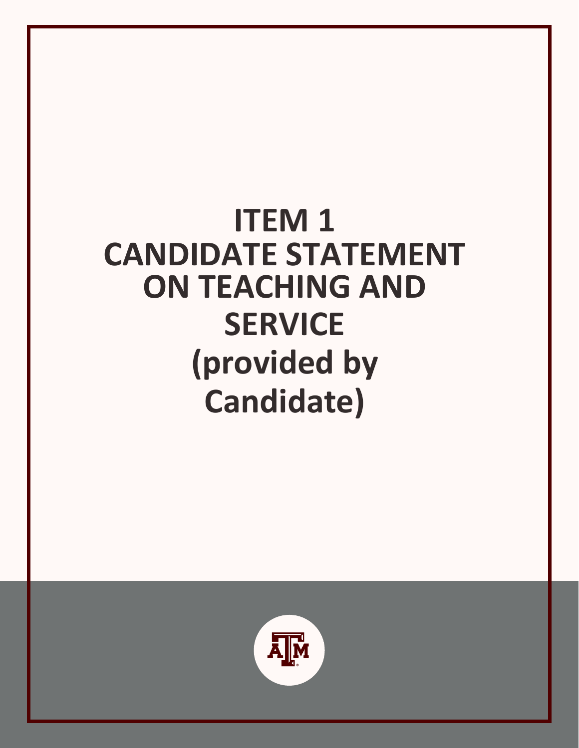### **ITEM 1 CANDIDATE STATEMENT ON TEACHING AND SERVICE (provided by Candidate)**

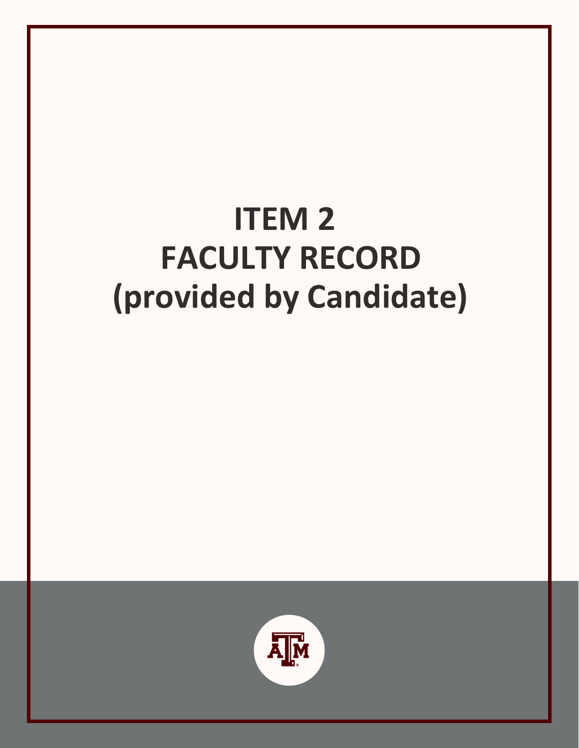# **ITEM 2 FACULTY RECORD (provided by Candidate)**

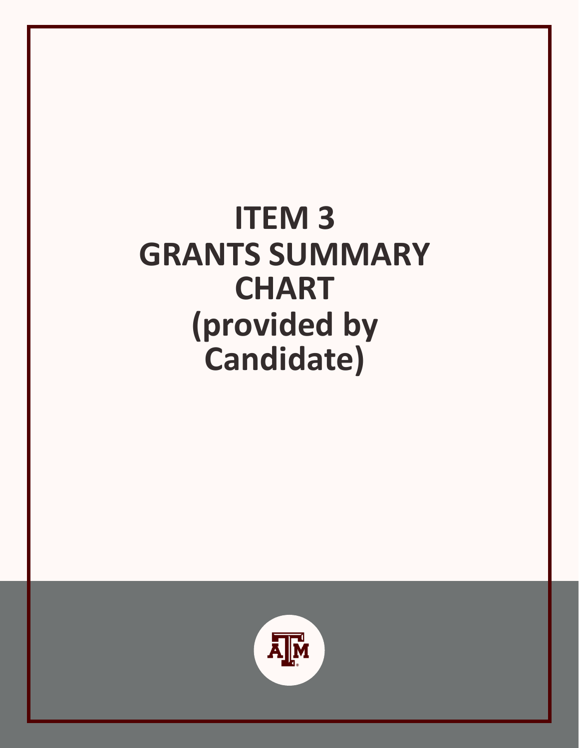#### **ITEM 3 GRANTS SUMMARY CHART (provided by Candidate)**

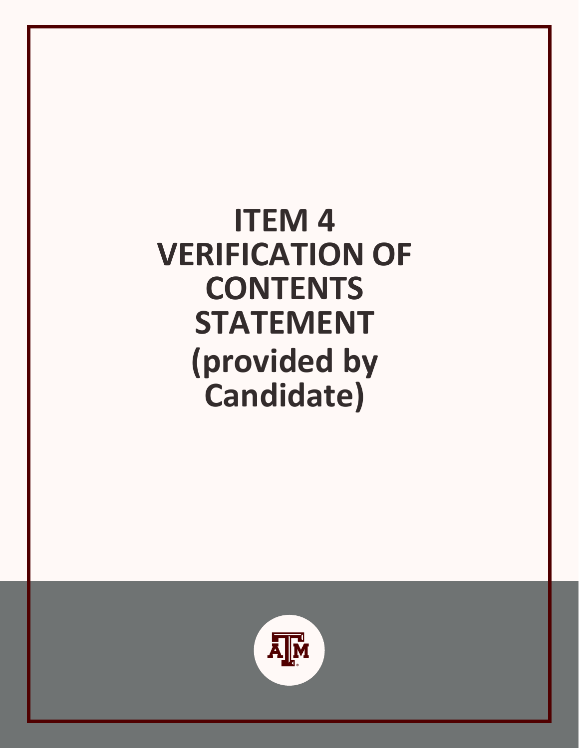#### **ITEM 4 VERIFICATION OF CONTENTS STATEMENT (provided by Candidate)**

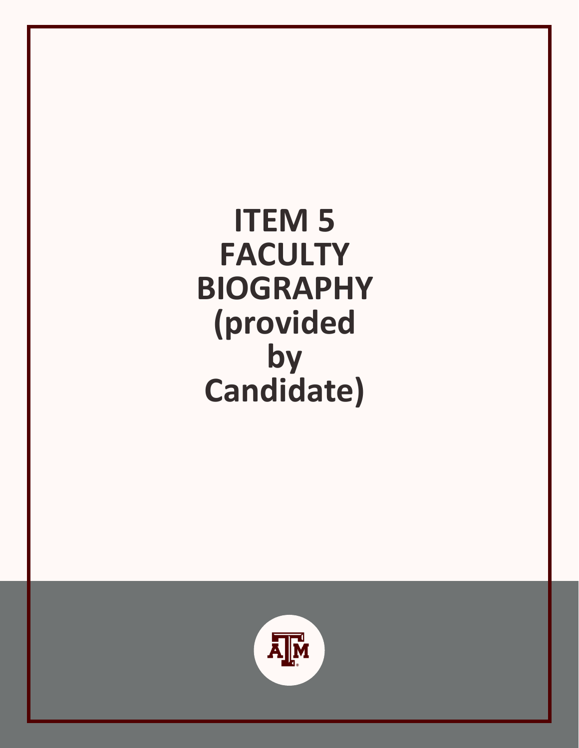**ITEM 5 FACULTY BIOGRAPHY (provided by Candidate)**

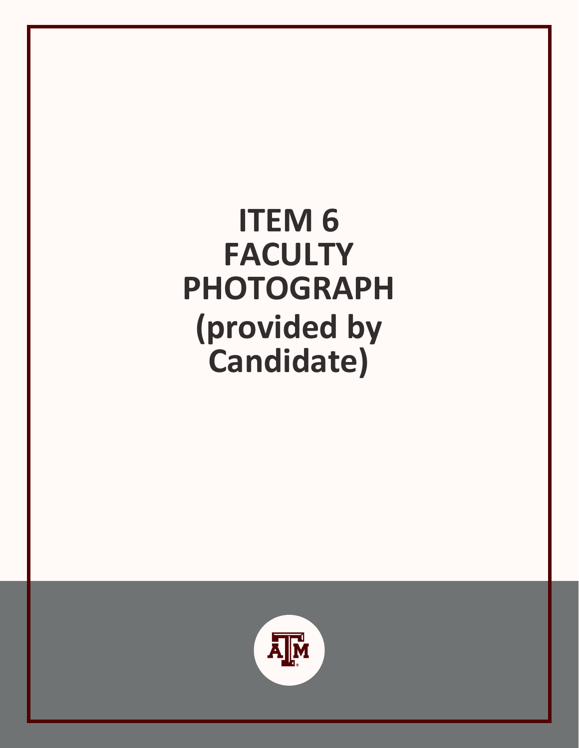**ITEM 6 FACULTY PHOTOGRAPH (provided by Candidate)**

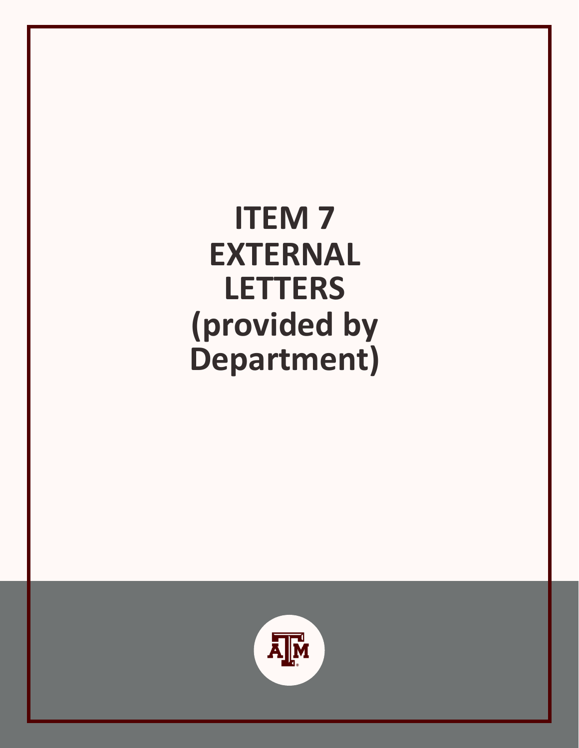#### **ITEM 7 EXTERNAL LETTERS (provided by Department)**

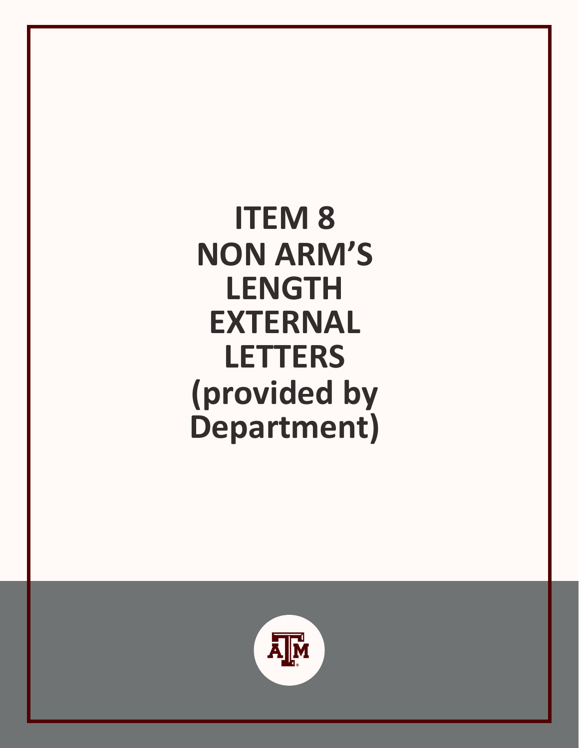**ITEM 8 NON ARM'S LENGTH EXTERNAL LETTERS (provided by Department)**

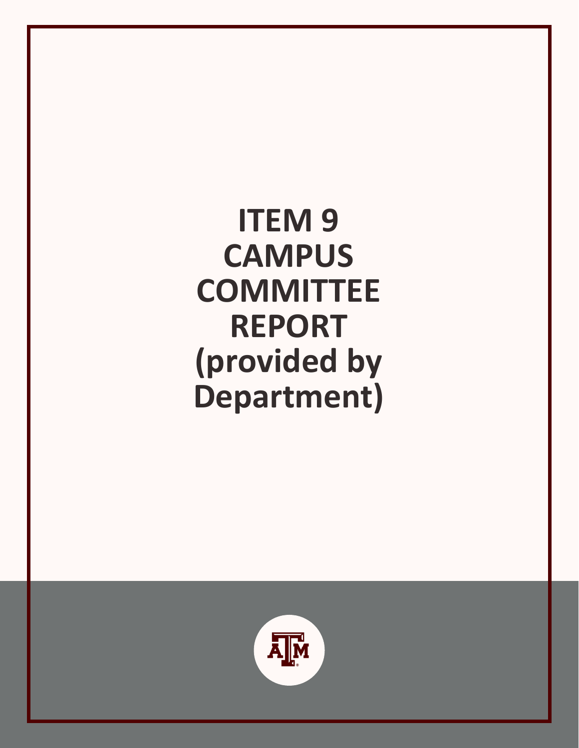**ITEM 9 CAMPUS COMMITTEE REPORT (provided by Department)**

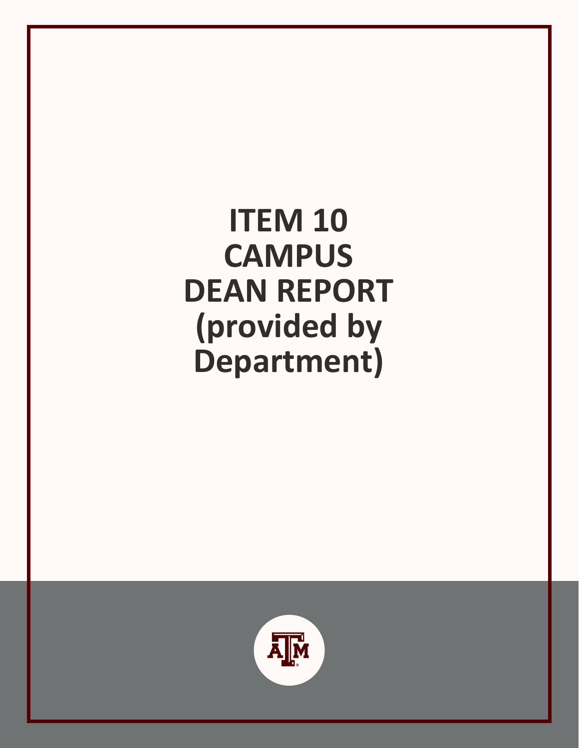#### **ITEM 10 CAMPUS DEAN REPORT (provided by Department)**

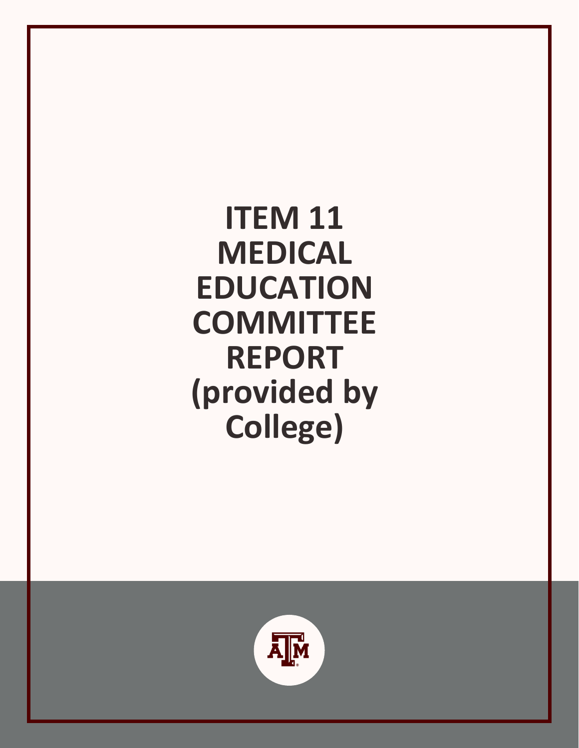**ITEM 11 MEDICAL EDUCATION COMMITTEE REPORT (provided by College)** 

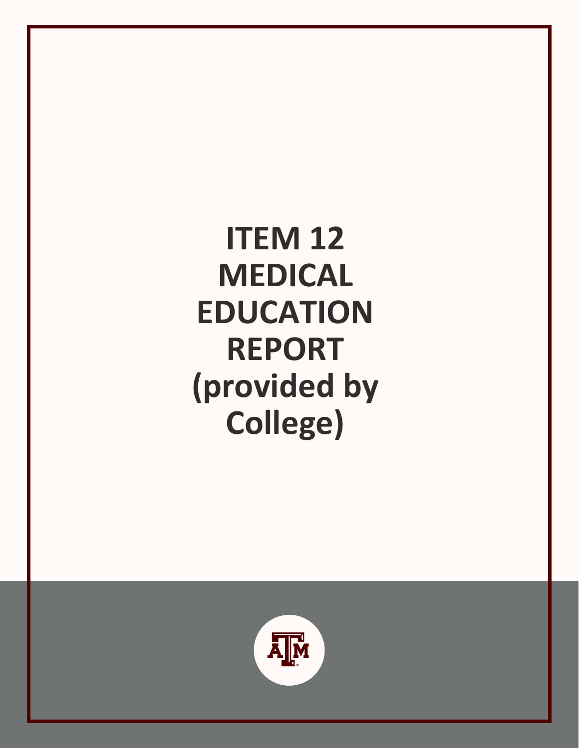## **ITEM 12 MEDICAL EDUCATION REPORT (provided by College)**

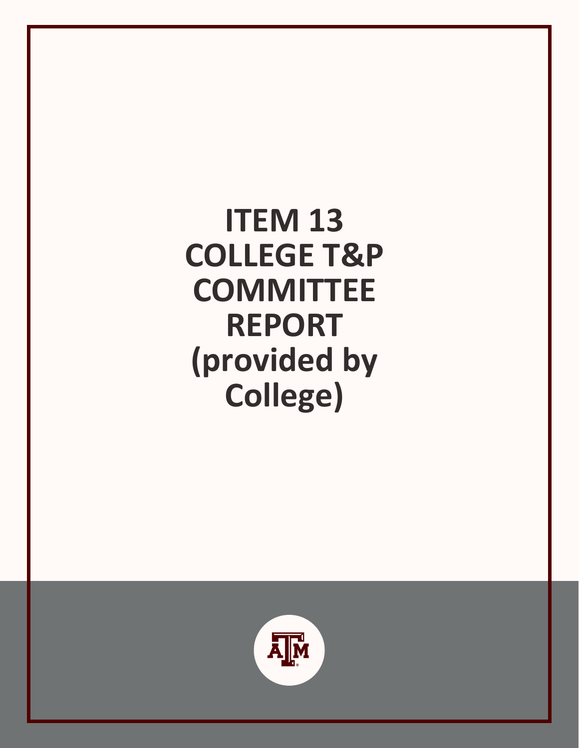**ITEM 13 COLLEGE T&P COMMITTEE REPORT (provided by College)**